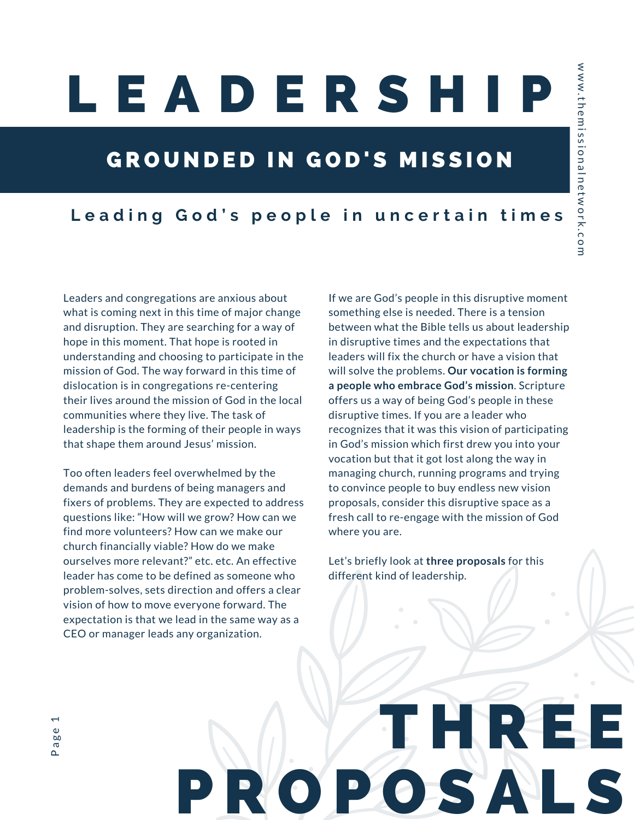## L E A D E R S H I P

#### GROUNDED IN GOD'S MISSION

#### Leading God's people in uncertain times

Leaders and congregations are anxious about what is coming next in this time of major change and disruption. They are searching for a way of hope in this moment. That hope is rooted in understanding and choosing to participate in the mission of God. The way forward in this time of dislocation is in congregations re-centering their lives around the mission of God in the local communities where they live. The task of leadership is the forming of their people in ways that shape them around Jesus' mission.

Too often leaders feel overwhelmed by the demands and burdens of being managers and fixers of problems. They are expected to address questions like: "How will we grow? How can we find more volunteers? How can we make our church financially viable? How do we make ourselves more relevant?" etc. etc. An effective leader has come to be defined as someone who problem-solves, sets direction and offers a clear vision of how to move everyone forward. The expectation is that we lead in the same way as a CEO or manager leads any organization.

If we are God's people in this disruptive moment something else is needed. There is a tension between what the Bible tells us about leadership in disruptive times and the expectations that leaders will fix the church or have a vision that will solve the problems. **Our vocation is forming a people who embrace God's mission**. Scripture offers us a way of being God's people in these disruptive times. If you are a leader who recognizes that it was this vision of participating in God's mission which first drew you into your vocation but that it got lost along the way in managing church, running programs and trying to convince people to buy endless new vision proposals, consider this disruptive space as a fresh call to re-engage with the mission of God where you are.

Let's briefly look at **three proposals** for this different kind of leadership.

## T HNRES O P O S A L

P a g e 1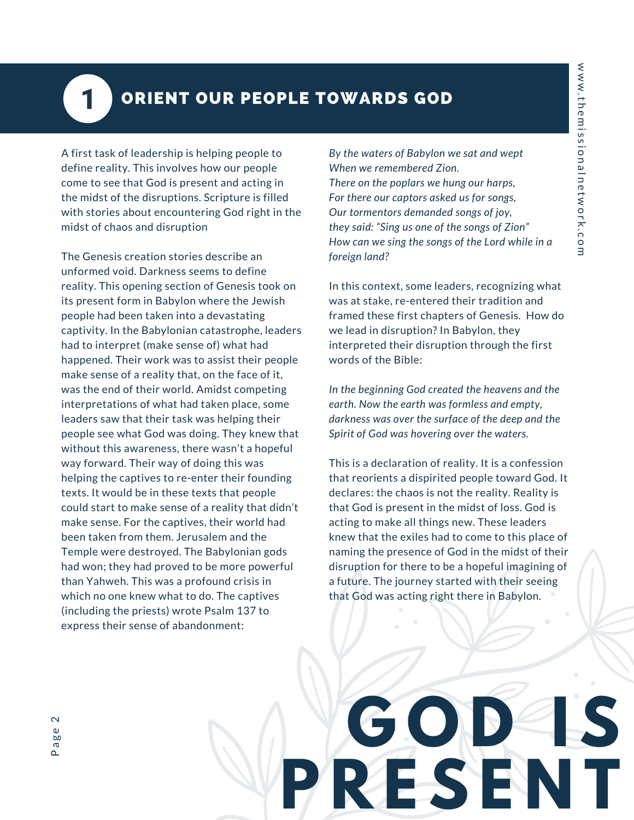### 1

#### ORIENT OUR PEOPLE TOWARDS GOD

A first task of leadership is helping people to define reality. This involves how our people come to see that God is present and acting in the midst of the disruptions. Scripture is filled with stories about encountering God right in the midst of chaos and disruption

The Genesis creation stories describe an unformed void. Darkness seems to define reality. This opening section of Genesis took on its present form in Babylon where the Jewish people had been taken into a devastating captivity. In the Babylonian catastrophe, leaders had to interpret (make sense of) what had happened. Their work was to assist their people make sense of a reality that, on the face of it, was the end of their world. Amidst competing interpretations of what had taken place, some leaders saw that their task was helping their people see what God was doing. They knew that without this awareness, there wasn't a hopeful way forward. Their way of doing this was helping the captives to re-enter their founding texts. It would be in these texts that people could start to make sense of a reality that didn't make sense. For the captives, their world had been taken from them. Jerusalem and the Temple were destroyed. The Babylonian gods had won; they had proved to be more powerful than Yahweh. This was a profound crisis in which no one knew what to do. The captives (including the priests) wrote Psalm 137 to express their sense of abandonment:

*By the waters of Babylon we sat and wept When we remembered Zion. There on the poplars we hung our harps, For there our captors asked us for songs, Our tormentors demanded songs of joy, they said: "Sing us one of the songs of Zion" How can we sing the songs of the Lord while in a foreign land?*

In this context, some leaders, recognizing what was at stake, re-entered their tradition and framed these first chapters of Genesis*.* How do we lead in disruption? In Babylon, they interpreted their disruption through the first words of the Bible:

*In the beginning God created the heavens and the earth. Now the earth was formless and empty, darkness was over the surface of the deep and the Spirit of God was hovering over the waters.*

This is a declaration of reality. It is a confession that reorients a dispirited people toward God. It declares: the chaos is not the reality. Reality is that God is present in the midst of loss. God is acting to make all things new. These leaders knew that the exiles had to come to this place of naming the presence of God in the midst of their disruption for there to be a hopeful imagining of a future. The journey started with their seeing that God was acting right there in Babylon.

**G O D I S**

**P R E S E N T**

P a g e $\overline{\mathsf{C}}$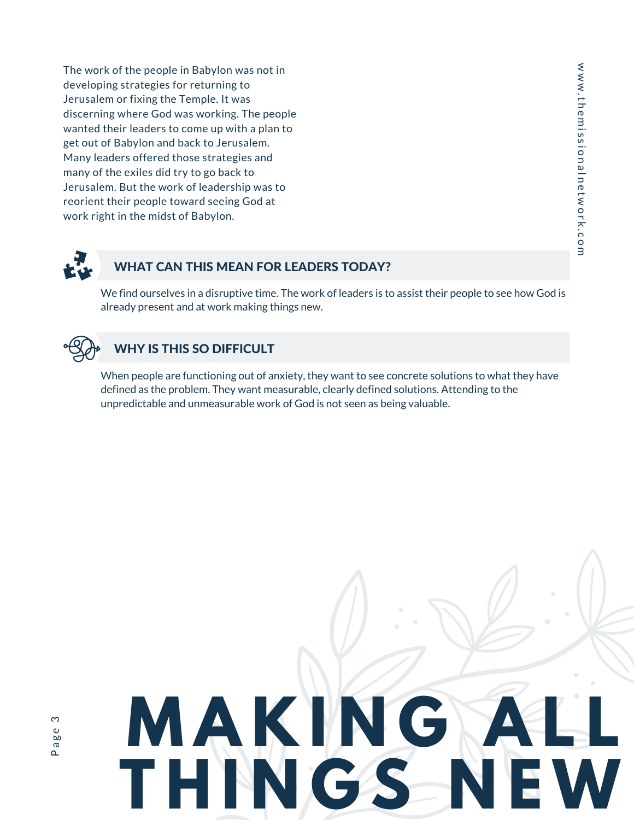The work of the people in Babylon was not in developing strategies for returning to Jerusalem or fixing the Temple. It was discerning where God was working. The people wanted their leaders to come up with a plan to get out of Babylon and back to Jerusalem. Many leaders offered those strategies and many of the exiles did try to go back to Jerusalem. But the work of leadership was to reorient their people toward seeing God at work right in the midst of Babylon.



#### WHAT CAN THIS MEAN FOR LEADERS TODAY?

We find ourselves in a disruptive time. The work of leaders is to assist their people to see how God is already present and at work making things new.



#### WHY IS THIS SO DIFFICULT

When people are functioning out of anxiety, they want to see concrete solutions to what they have defined as the problem. They want measurable, clearly defined solutions. Attending to the unpredictable and unmeasurable work of God is not seen as being valuable.

# **M A K I N G A L L**  $T H IN G S$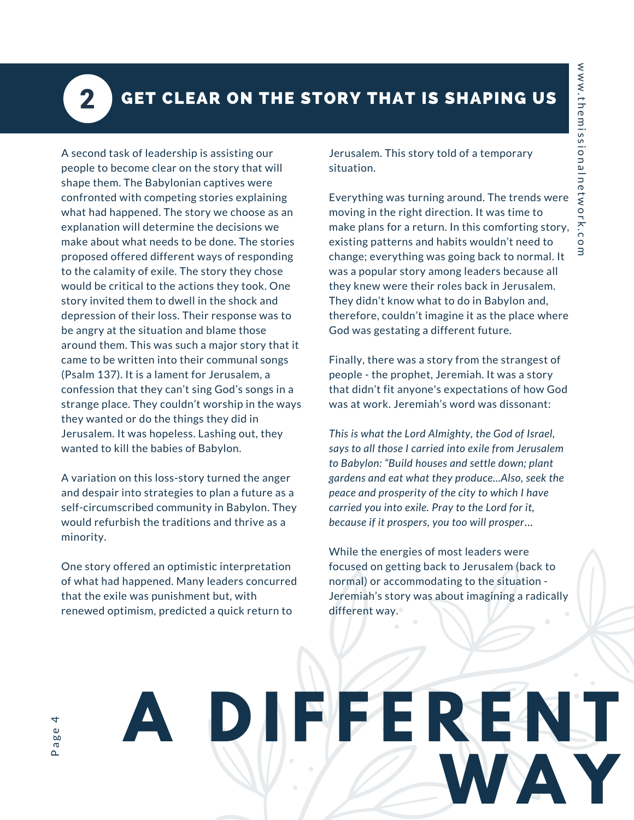$\overline{\mathbf{2}}$ 

#### GET CLEAR ON THE STORY THAT IS SHAPING US

A second task of leadership is assisting our people to become clear on the story that will shape them. The Babylonian captives were confronted with competing stories explaining what had happened. The story we choose as an explanation will determine the decisions we make about what needs to be done. The stories proposed offered different ways of responding to the calamity of exile. The story they chose would be critical to the actions they took. One story invited them to dwell in the shock and depression of their loss. Their response was to be angry at the situation and blame those around them. This was such a major story that it came to be written into their communal songs (Psalm 137). It is a lament for Jerusalem, a confession that they can't sing God's songs in a strange place. They couldn't worship in the ways they wanted or do the things they did in Jerusalem. It was hopeless. Lashing out, they wanted to kill the babies of Babylon.

A variation on this loss-story turned the anger and despair into strategies to plan a future as a self-circumscribed community in Babylon. They would refurbish the traditions and thrive as a minority.

One story offered an optimistic interpretation of what had happened. Many leaders concurred that the exile was punishment but, with renewed optimism, predicted a quick return to

Jerusalem. This story told of a temporary situation.

Everything was turning around. The trends were moving in the right direction. It was time to make plans for a return. In this comforting story, existing patterns and habits wouldn't need to change; everything was going back to normal. It was a popular story among leaders because all they knew were their roles back in Jerusalem. They didn't know what to do in Babylon and, therefore, couldn't imagine it as the place where God was gestating a different future.

Finally, there was a story from the strangest of people - the prophet, Jeremiah. It was a story that didn't fit anyone's expectations of how God was at work. Jeremiah's word was dissonant:

*This is what the Lord Almighty, the God of Israel, says to all those I carried into exile from Jerusalem to Babylon: "Build houses and settle down; plant gardens and eat what they produce...Also, seek the peace and prosperity of the city to which I have carried you into exile. Pray to the Lord for it, because if it prospers, you too will prosper*…

While the energies of most leaders were focused on getting back to Jerusalem (back to normal) or accommodating to the situation - Jeremiah's story was about imagining a radically different way.

**WA Y**

**A D I F F E R E N T**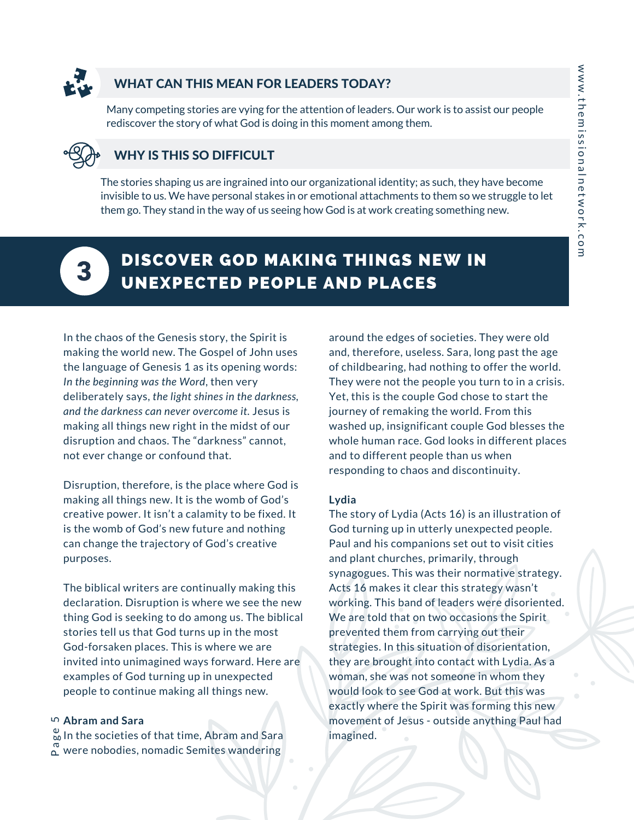

#### WHAT CAN THIS MEAN FOR LEADERS TODAY?

Many competing stories are vying for the attention of leaders. Our work is to assist our people rediscover the story of what God is doing in this moment among them.

#### WHY IS THIS SO DIFFICULT

The stories shaping us are ingrained into our organizational identity; as such, they have become invisible to us. We have personal stakes in or emotional attachments to them so we struggle to let them go. They stand in the way of us seeing how God is at work creating something new.



#### DISCOVER GOD MAKING THINGS NEW IN UNEXPECTED PEOPLE AND PLACES

In the chaos of the Genesis story, the Spirit is making the world new. The Gospel of John uses the language of Genesis 1 as its opening words: *In the beginning was the Word*, then very deliberately says, *the light shines in the darkness, and the darkness can never overcome it.* Jesus is making all things new right in the midst of our disruption and chaos. The "darkness" cannot, not ever change or confound that.

Disruption, therefore, is the place where God is making all things new. It is the womb of God's creative power. It isn't a calamity to be fixed. It is the womb of God's new future and nothing can change the trajectory of God's creative purposes.

The biblical writers are continually making this declaration. Disruption is where we see the new thing God is seeking to do among us. The biblical stories tell us that God turns up in the most God-forsaken places. This is where we are invited into unimagined ways forward. Here are examples of God turning up in unexpected people to continue making all things new.

#### **Abram and Sara** 5

 $_{\infty}^{\omega}$  In the societies of that time, Abram and Sara  $\frac{\infty}{\alpha}$  were nobodies, nomadic Semites wandering

around the edges of societies. They were old and, therefore, useless. Sara, long past the age of childbearing, had nothing to offer the world. They were not the people you turn to in a crisis. Yet, this is the couple God chose to start the journey of remaking the world. From this washed up, insignificant couple God blesses the whole human race. God looks in different places and to different people than us when responding to chaos and discontinuity.

#### **Lydia**

The story of Lydia (Acts 16) is an illustration of God turning up in utterly unexpected people. Paul and his companions set out to visit cities and plant churches, primarily, through synagogues. This was their normative strategy. Acts 16 makes it clear this strategy wasn't working. This band of leaders were disoriented. We are told that on two occasions the Spirit prevented them from carrying out their strategies. In this situation of disorientation, they are brought into contact with Lydia. As a woman, she was not someone in whom they would look to see God at work. But this was exactly where the Spirit was forming this new movement of Jesus - outside anything Paul had imagined.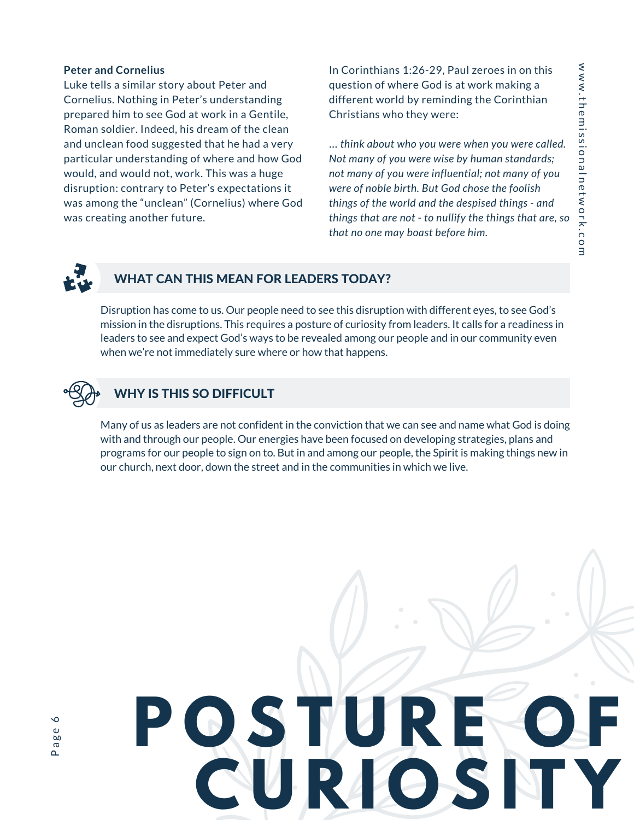#### **Peter and Cornelius**

Luke tells a similar story about Peter and Cornelius. Nothing in Peter's understanding prepared him to see God at work in a Gentile, Roman soldier. Indeed, his dream of the clean and unclean food suggested that he had a very particular understanding of where and how God would, and would not, work. This was a huge disruption: contrary to Peter's expectations it was among the "unclean" (Cornelius) where God was creating another future.

In Corinthians 1:26-29, Paul zeroes in on this question of where God is at work making a different world by reminding the Corinthian Christians who they were:

… *think about who you were when you were called. Not many of you were wise by human standards; not many of you were influential; not many of you were of noble birth. But God chose the foolish things of the world and the despised things - and things that are not - to nullify the things that are, so that no one may boast before him.*



#### WHAT CAN THIS MEAN FOR LEADERS TODAY?

Disruption has come to us. Our people need to see this disruption with different eyes, to see God's mission in the disruptions. This requires a posture of curiosity from leaders. It calls for a readiness in leaders to see and expect God's ways to be revealed among our people and in our community even when we're not immediately sure where or how that happens.



#### WHY IS THIS SO DIFFICULT

Many of us as leaders are not confident in the conviction that we can see and name what God is doing with and through our people. Our energies have been focused on developing strategies, plans and programs for our people to sign on to. But in and among our people, the Spirit is making things new in our church, next door, down the street and in the communities in which we live.

# **P O S T U R E O F C U R I O S I T Y**